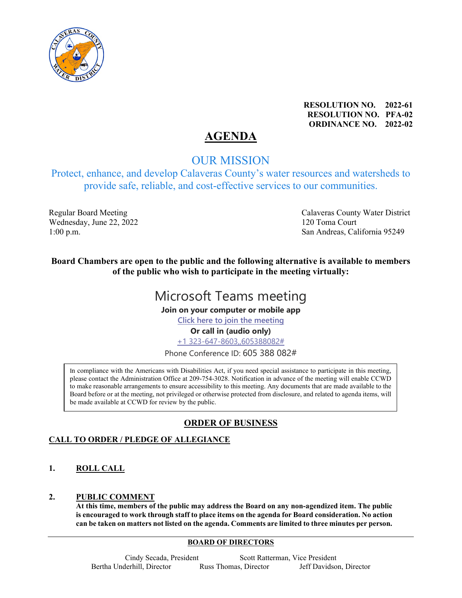

**RESOLUTION NO. 2022-61 RESOLUTION NO. PFA-02 ORDINANCE NO. 2022-02**

# **AGENDA**

## OUR MISSION

Protect, enhance, and develop Calaveras County's water resources and watersheds to provide safe, reliable, and cost-effective services to our communities.

Wednesday, June 22, 2022 120 Toma Court

Regular Board Meeting The Calaveras County Water District 1:00 p.m.San Andreas, California 95249

**Board Chambers are open to the public and the following alternative is available to members of the public who wish to participate in the meeting virtually:**

# Microsoft Teams meeting

**Join on your computer or mobile app**

**Click here to join the meeting**

**Or call in (audio only)**

+1 323-647-8603,,605388082#

Phone Conference ID: 605 388 082#

In compliance with the Americans with Disabilities Act, if you need special assistance to participate in this meeting, please contact the Administration Office at 209-754-3028. Notification in advance of the meeting will enable CCWD to make reasonable arrangements to ensure accessibility to this meeting. Any documents that are made available to the Board before or at the meeting, not privileged or otherwise protected from disclosure, and related to agenda items, will be made available at CCWD for review by the public.

## **ORDER OF BUSINESS**

### **CALL TO ORDER / PLEDGE OF ALLEGIANCE**

**1. ROLL CALL** 

#### **2. PUBLIC COMMENT**

**At this time, members of the public may address the Board on any non-agendized item. The public is encouraged to work through staff to place items on the agenda for Board consideration. No action can be taken on matters not listed on the agenda. Comments are limited to three minutes per person.**

#### **BOARD OF DIRECTORS**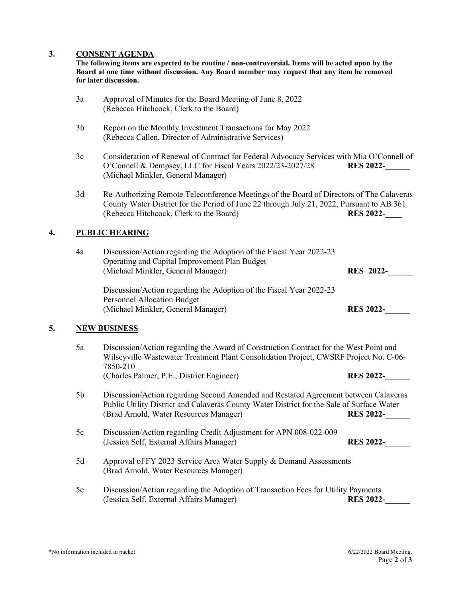#### **3. CONSENT AGENDA**

**The following items are expected to be routine / non-controversial. Items will be acted upon by the Board at one time without discussion. Any Board member may request that any item be removed for later discussion.**

- 3a Approval of Minutes for the Board Meeting of June 8, 2022 (Rebecca Hitchcock, Clerk to the Board)
- 3b Report on the Monthly Investment Transactions for May 2022 (Rebecca Callen, Director of Administrative Services)
- 3c Consideration of Renewal of Contract for Federal Advocacy Services with Mia O'Connell of O'Connell & Dempsey, LLC for Fiscal Years 2022/23-2027/28 **RES 2022-\_\_\_\_\_\_** (Michael Minkler, General Manager)
- 3d Re-Authorizing Remote Teleconference Meetings of the Board of Directors of The Calaveras County Water District for the Period of June 22 through July 21, 2022, Pursuant to AB 361<br>(Rebecca Hitchcock, Clerk to the Board) RES 2022-(Rebecca Hitchcock, Clerk to the Board)

#### **4. PUBLIC HEARING**

| 4a | Discussion/Action regarding the Adoption of the Fiscal Year 2022-23<br>Operating and Capital Improvement Plan Budget |                  |
|----|----------------------------------------------------------------------------------------------------------------------|------------------|
|    | (Michael Minkler, General Manager)                                                                                   | <b>RES</b> 2022- |
|    | Discussion/Action regarding the Adoption of the Fiscal Year 2022-23                                                  |                  |
|    | <b>Personnel Allocation Budget</b>                                                                                   |                  |
|    | (Michael Minkler, General Manager)                                                                                   | <b>RES 2022-</b> |

#### **5. NEW BUSINESS**

5a Discussion/Action regarding the Award of Construction Contract for the West Point and Wilseyville Wastewater Treatment Plant Consolidation Project, CWSRF Project No. C-06- 7850-210 (Charles Palmer, P.E., District Engineer) **RES 2022-\_\_\_\_\_\_** 5b Discussion/Action regarding Second Amended and Restated Agreement between Calaveras Public Utility District and Calaveras County Water District for the Sale of Surface Water (Brad Arnold, Water Resources Manager) **RES 2022-\_\_\_\_\_\_** 5c Discussion/Action regarding Credit Adjustment for APN 008-022-009 (Jessica Self, External Affairs Manager) **RES 2022-\_\_\_\_\_\_** 5d Approval of FY 2023 Service Area Water Supply & Demand Assessments (Brad Arnold, Water Resources Manager) 5e Discussion/Action regarding the Adoption of Transaction Fees for Utility Payments (Jessica Self, External Affairs Manager) **RES 2022-\_\_\_\_\_\_**